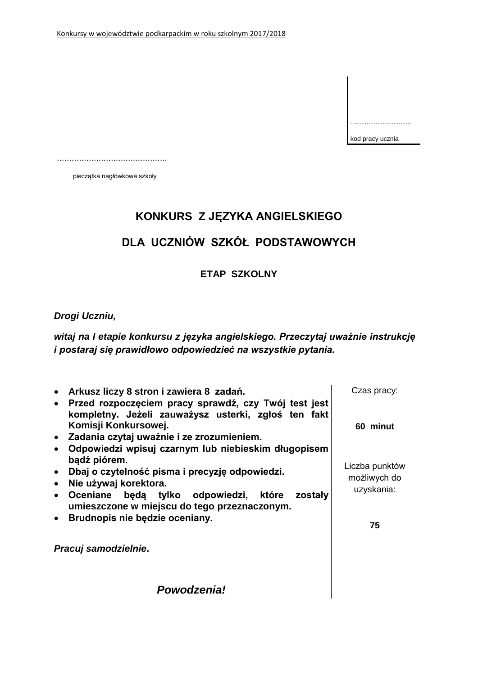| kod pracy ucznia |
|------------------|

.............................................

pieczątka nagłówkowa szkoły

# **KONKURS Z JĘZYKA ANGIELSKIEGO**

# **DLA UCZNIÓW SZKÓŁ PODSTAWOWYCH**

**ETAP SZKOLNY**

### *Drogi Uczniu,*

*witaj na I etapie konkursu z języka angielskiego. Przeczytaj uważnie instrukcję i postaraj się prawidłowo odpowiedzieć na wszystkie pytania.*

| Arkusz liczy 8 stron i zawiera 8 zadań.<br>Przed rozpoczęciem pracy sprawdź, czy Twój test jest<br>$\bullet$<br>kompletny. Jeżeli zauważysz usterki, zgłoś ten fakt                                                                                                            | Czas pracy:                                        |
|--------------------------------------------------------------------------------------------------------------------------------------------------------------------------------------------------------------------------------------------------------------------------------|----------------------------------------------------|
| Komisji Konkursowej.<br>· Zadania czytaj uważnie i ze zrozumieniem.<br>Odpowiedzi wpisuj czarnym lub niebieskim długopisem                                                                                                                                                     | 60 minut                                           |
| bądź piórem.<br>Dbaj o czytelność pisma i precyzję odpowiedzi.<br>$\bullet$<br>Nie używaj korektora.<br>$\bullet$<br>Oceniane będą tylko odpowiedzi, które zostały<br>$\bullet$<br>umieszczone w miejscu do tego przeznaczonym.<br>Brudnopis nie będzie oceniany.<br>$\bullet$ | Liczba punktów<br>możliwych do<br>uzyskania:<br>75 |
| Pracuj samodzielnie.                                                                                                                                                                                                                                                           |                                                    |
| <b>Powodzenia!</b>                                                                                                                                                                                                                                                             |                                                    |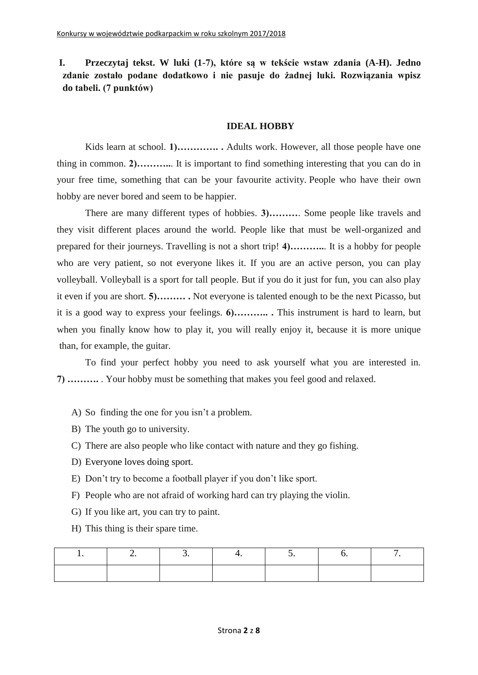# **I. Przeczytaj tekst. W luki (1-7), które są w tekście wstaw zdania (A-H). Jedno zdanie zostało podane dodatkowo i nie pasuje do żadnej luki. Rozwiązania wpisz do tabeli. (7 punktów)**

### **IDEAL HOBBY**

Kids learn at school. **1)..............** Adults work. However, all those people have one thing in common. **2)………..**. It is important to find something interesting that you can do in your free time, something that can be your favourite activity. People who have their own hobby are never bored and seem to be happier.

There are many different types of hobbies. **3)………**. Some people like travels and they visit different places around the world. People like that must be well-organized and prepared for their journeys. Travelling is not a short trip! **4)………..**. It is a hobby for people who are very patient, so not everyone likes it. If you are an active person, you can play volleyball. Volleyball is a sport for tall people. But if you do it just for fun, you can also play it even if you are short. **5)……… .** Not everyone is talented enough to be the next Picasso, but it is a good way to express your feelings. **6)……….. .** This instrument is hard to learn, but when you finally know how to play it, you will really enjoy it, because it is more unique than, for example, the guitar.

To find your perfect hobby you need to ask yourself what you are interested in. **7) ……….** . Your hobby must be something that makes you feel good and relaxed.

- A) So finding the one for you isn't a problem.
- B) The youth go to university.
- C) There are also people who like contact with nature and they go fishing.
- D) Everyone loves doing sport.
- E) Don't try to become a football player if you don't like sport.
- F) People who are not afraid of working hard can try playing the violin.
- G) If you like art, you can try to paint.
- H) This thing is their spare time.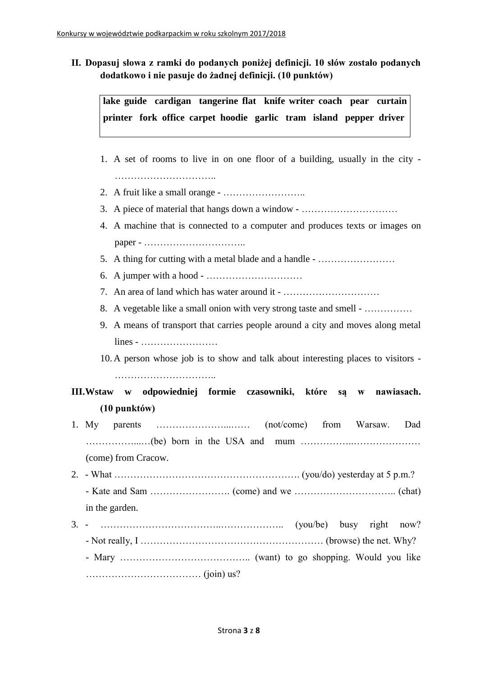**II. Dopasuj słowa z ramki do podanych poniżej definicji. 10 słów zostało podanych dodatkowo i nie pasuje do żadnej definicji. (10 punktów)**

**lake guide cardigan tangerine flat knife writer coach pear curtain printer fork office carpet hoodie garlic tram island pepper driver** 

- 1. A set of rooms to live in on one floor of a building, usually in the city ………………………………………
- 2. A fruit like a small orange ……………………..
- 3. A piece of material that hangs down a window …………………………
- 4. A machine that is connected to a computer and produces texts or images on paper - …………………………..
- 5. A thing for cutting with a metal blade and a handle ……………………
- 6. A jumper with a hood  $\dots$   $\dots$   $\dots$   $\dots$   $\dots$   $\dots$
- 7. An area of land which has water around it …………………………
- 8. A vegetable like a small onion with very strong taste and smell ……………
- 9. A means of transport that carries people around a city and moves along metal lines - ……………………
- 10. A person whose job is to show and talk about interesting places to visitors -

**III.Wstaw w odpowiedniej formie czasowniki, które są w nawiasach. (10 punktów)**

- 1. My parents …………………...…… (not/come) from Warsaw. Dad ……………...…(be) born in the USA and mum ……………..………………… (come) from Cracow.
- 2. What  $\ldots$   $\ldots$   $\ldots$   $\ldots$   $\ldots$   $\ldots$   $\ldots$   $\ldots$   $\ldots$   $\ldots$   $\ldots$   $\ldots$   $\ldots$   $\ldots$   $\ldots$   $\ldots$   $\ldots$   $\ldots$   $\ldots$   $\ldots$   $\ldots$   $\ldots$   $\ldots$   $\ldots$   $\ldots$   $\ldots$   $\ldots$   $\ldots$   $\ldots$   $\ldots$   $\ldots$   $\ldots$   $\ldots$   $\ldots$   $\ldots$  - Kate and Sam ……………………. (come) and we ………………………….. (chat)
- in the garden.
- 3. ………………………………..……………….. (you/be) busy right now?  $-$  Not really, I  $\ldots$   $\ldots$   $\ldots$   $\ldots$   $\ldots$   $\ldots$   $\ldots$   $\ldots$   $\ldots$   $\ldots$   $\ldots$  (browse) the net. Why?
	- Mary ………………………………….. (want) to go shopping. Would you like ……………………………… (join) us?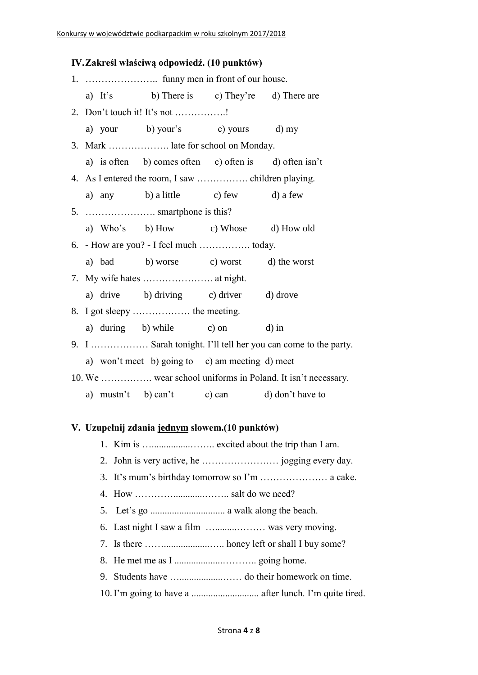### **IV.Zakreśl właściwą odpowiedź. (10 punktów)**

|  |  | a) It's b) There is c) They're d) There are           |  |                                                               |  |  |
|--|--|-------------------------------------------------------|--|---------------------------------------------------------------|--|--|
|  |  | 2. Don't touch it! It's not !                         |  |                                                               |  |  |
|  |  | a) your b) your's c) yours d) my                      |  |                                                               |  |  |
|  |  | 3. Mark  late for school on Monday.                   |  |                                                               |  |  |
|  |  | a) is often b) comes often c) often is d) often isn't |  |                                                               |  |  |
|  |  |                                                       |  |                                                               |  |  |
|  |  | a) any b) a little c) few d) a few                    |  |                                                               |  |  |
|  |  |                                                       |  |                                                               |  |  |
|  |  | a) Who's b) How c) Whose d) How old                   |  |                                                               |  |  |
|  |  | 6. - How are you? - I feel much  today.               |  |                                                               |  |  |
|  |  | a) bad b) worse c) worst d) the worst                 |  |                                                               |  |  |
|  |  |                                                       |  |                                                               |  |  |
|  |  | a) drive b) driving c) driver d) drove                |  |                                                               |  |  |
|  |  |                                                       |  |                                                               |  |  |
|  |  | a) during b) while c) on d) in                        |  |                                                               |  |  |
|  |  |                                                       |  | 9. I  Sarah tonight. I'll tell her you can come to the party. |  |  |
|  |  | a) won't meet b) going to c) am meeting d) meet       |  |                                                               |  |  |
|  |  |                                                       |  | 10. We  wear school uniforms in Poland. It isn't necessary.   |  |  |
|  |  |                                                       |  | a) mustn't b) can't c) can d) don't have to                   |  |  |

#### **V. Uzupełnij zdania jednym słowem.(10 punktów)**

- 1. Kim is …................…….. excited about the trip than I am.
- 2. John is very active, he …………………… jogging every day.
- 3. It's mum's birthday tomorrow so I'm ………………… a cake.
- 4. How ………….............…….. salt do we need?
- 5. Let's go ............................... a walk along the beach.
- 6. Last night I saw a film ….........……… was very moving.
- 7. Is there ……...................….. honey left or shall I buy some?
- 8. He met me as I ....................……….. going home.
- 9. Students have …..................…… do their homework on time.
- 10.I'm going to have a ............................ after lunch. I'm quite tired.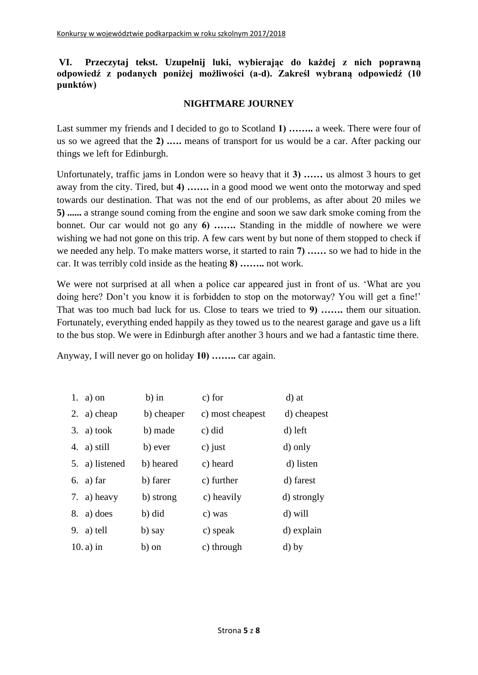### **VI. Przeczytaj tekst. Uzupełnij luki, wybierając do każdej z nich poprawną odpowiedź z podanych poniżej możliwości (a-d). Zakreśl wybraną odpowiedź (10 punktów)**

### **NIGHTMARE JOURNEY**

Last summer my friends and I decided to go to Scotland **1) ……..** a week. There were four of us so we agreed that the **2) .….** means of transport for us would be a car. After packing our things we left for Edinburgh.

Unfortunately, traffic jams in London were so heavy that it **3) ……** us almost 3 hours to get away from the city. Tired, but **4) …….** in a good mood we went onto the motorway and sped towards our destination. That was not the end of our problems, as after about 20 miles we **5) ......** a strange sound coming from the engine and soon we saw dark smoke coming from the bonnet. Our car would not go any **6) …….** Standing in the middle of nowhere we were wishing we had not gone on this trip. A few cars went by but none of them stopped to check if we needed any help. To make matters worse, it started to rain **7) ……** so we had to hide in the car. It was terribly cold inside as the heating **8) ……..** not work.

We were not surprised at all when a police car appeared just in front of us. 'What are you doing here? Don't you know it is forbidden to stop on the motorway? You will get a fine!' That was too much bad luck for us. Close to tears we tried to **9) …….** them our situation. Fortunately, everything ended happily as they towed us to the nearest garage and gave us a lift to the bus stop. We were in Edinburgh after another 3 hours and we had a fantastic time there.

Anyway, I will never go on holiday **10) ……..** car again.

|    | 1. $a)$ on     | $b)$ in    | c) for           | d) at       |
|----|----------------|------------|------------------|-------------|
| 2. | a) cheap       | b) cheaper | c) most cheapest | d) cheapest |
| 3. | a) took        | b) made    | c) did           | d) left     |
| 4. | a) still       | b) ever    | c) just          | d) only     |
|    | 5. a) listened | b) heared  | c) heard         | d) listen   |
|    | 6. a) far      | b) farer   | c) further       | d) farest   |
|    | 7. a) heavy    | b) strong  | c) heavily       | d) strongly |
|    | $8. a)$ does   | b) did     | c) was           | d) will     |
| 9. | a) tell        | b) say     | c) speak         | d) explain  |
|    | $10. a$ ) in   | b) on      | c) through       | d) by       |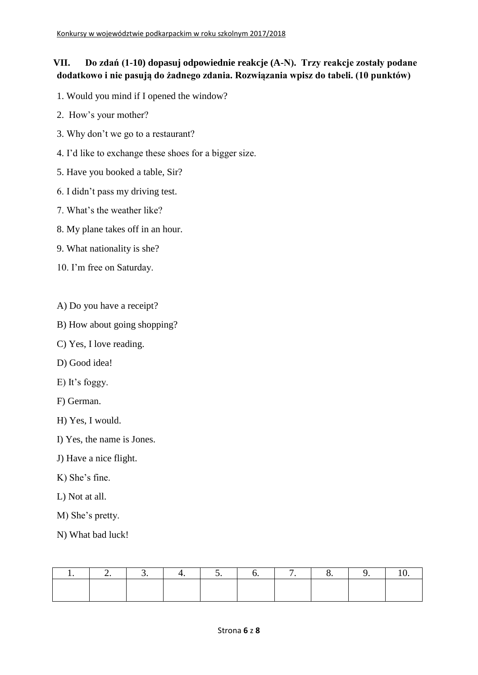# **VII. Do zdań (1-10) dopasuj odpowiednie reakcje (A-N). Trzy reakcje zostały podane dodatkowo i nie pasują do żadnego zdania. Rozwiązania wpisz do tabeli. (10 punktów)**

- 1. Would you mind if I opened the window?
- 2. How's your mother?
- 3. Why don't we go to a restaurant?
- 4. I'd like to exchange these shoes for a bigger size.
- 5. Have you booked a table, Sir?
- 6. I didn't pass my driving test.
- 7. What's the weather like?
- 8. My plane takes off in an hour.
- 9. What nationality is she?
- 10. I'm free on Saturday.
- A) Do you have a receipt?
- B) How about going shopping?
- C) Yes, I love reading.
- D) Good idea!
- E) It's foggy.
- F) German.
- H) Yes, I would.
- I) Yes, the name is Jones.
- J) Have a nice flight.
- K) She's fine.
- L) Not at all.
- M) She's pretty.
- N) What bad luck!

|  |  |  |  | 2. 3. 4. 5. 6. 7. 8. 9. |  |
|--|--|--|--|-------------------------|--|
|  |  |  |  |                         |  |
|  |  |  |  |                         |  |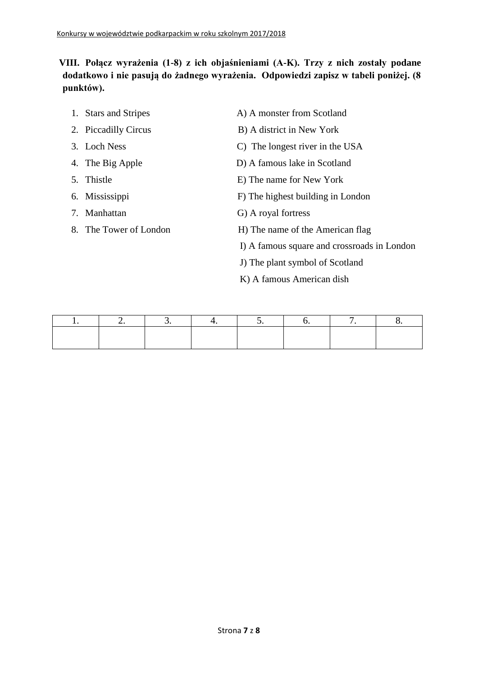# **VIII. Połącz wyrażenia (1-8) z ich objaśnieniami (A-K). Trzy z nich zostały podane dodatkowo i nie pasują do żadnego wyrażenia. Odpowiedzi zapisz w tabeli poniżej. (8 punktów).**

| 1. Stars and Stripes   | A) A monster from Scotland                  |
|------------------------|---------------------------------------------|
| 2. Piccadilly Circus   | B) A district in New York                   |
| 3. Loch Ness           | C) The longest river in the USA             |
| 4. The Big Apple       | D) A famous lake in Scotland                |
| 5. Thistle             | E) The name for New York                    |
| 6. Mississippi         | F) The highest building in London           |
| 7. Manhattan           | G) A royal fortress                         |
| 8. The Tower of London | H) The name of the American flag            |
|                        | I) A famous square and crossroads in London |
|                        | J) The plant symbol of Scotland             |
|                        | K) A famous American dish                   |